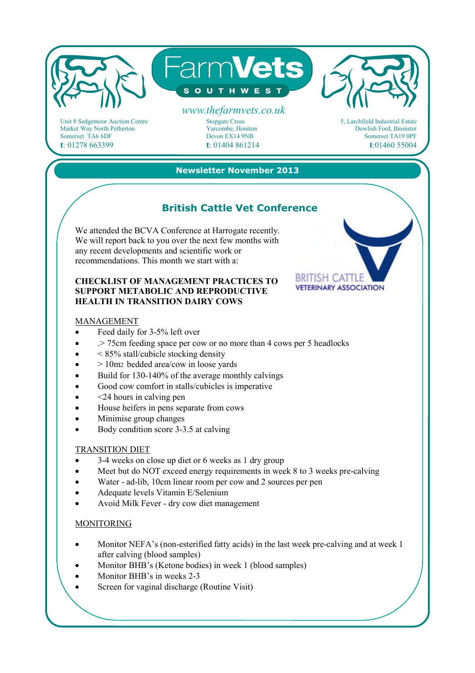

Unit 8 Sedgemoor Auction Centre Market Way North Petherton Somerset TA6 6DF **t**: 01278 663399

Stopgate Cross Yarcombe, Honiton Devon EX14 9NB **t**: 01404 861214 5, Larchfield Industrial Estate Dowlish Ford, Ilminster Somerset TA19 0PF **t**:01460 55004

### **Newsletter November 2013**

# **British Cattle Vet Conference**

We attended the BCVA Conference at Harrogate recently. We will report back to you over the next few months with any recent developments and scientific work or recommendations. This month we start with a:

#### **CHECKLIST OF MANAGEMENT PRACTICES TO SUPPORT METABOLIC AND REPRODUCTIVE HEALTH IN TRANSITION DAIRY COWS**

#### MANAGEMENT

- Feed daily for 3-5% left over
- .> 75cm feeding space per cow or no more than 4 cows per 5 headlocks
- $\bullet$  < 85% stall/cubicle stocking density
- $\bullet$  > 10m<sub>2</sub> bedded area/cow in loose yards
- Build for 130-140% of the average monthly calvings
- Good cow comfort in stalls/cubicles is imperative
- <24 hours in calving pen
- House heifers in pens separate from cows
- Minimise group changes
- Body condition score 3-3.5 at calving

#### TRANSITION DIET

- 3-4 weeks on close up diet or 6 weeks as 1 dry group
- Meet but do NOT exceed energy requirements in week 8 to 3 weeks pre-calving
- Water ad-lib, 10cm linear room per cow and 2 sources per pen
- Adequate levels Vitamin E/Selenium
- Avoid Milk Fever dry cow diet management

#### MONITORING

- Monitor NEFA's (non-esterified fatty acids) in the last week pre-calving and at week 1 after calving (blood samples)
- Monitor BHB's (Ketone bodies) in week 1 (blood samples)
- Monitor BHB's in weeks 2-3
- Screen for vaginal discharge (Routine Visit)